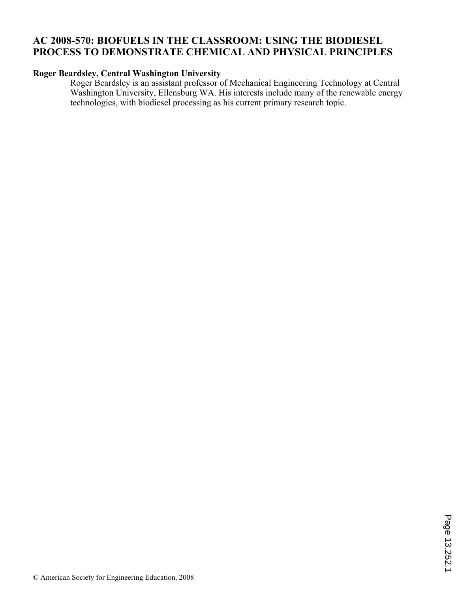## **AC 2008-570: BIOFUELS IN THE CLASSROOM: USING THE BIODIESEL PROCESS TO DEMONSTRATE CHEMICAL AND PHYSICAL PRINCIPLES**

## **Roger Beardsley, Central Washington University**

Roger Beardsley is an assistant professor of Mechanical Engineering Technology at Central Washington University, Ellensburg WA. His interests include many of the renewable energy technologies, with biodiesel processing as his current primary research topic.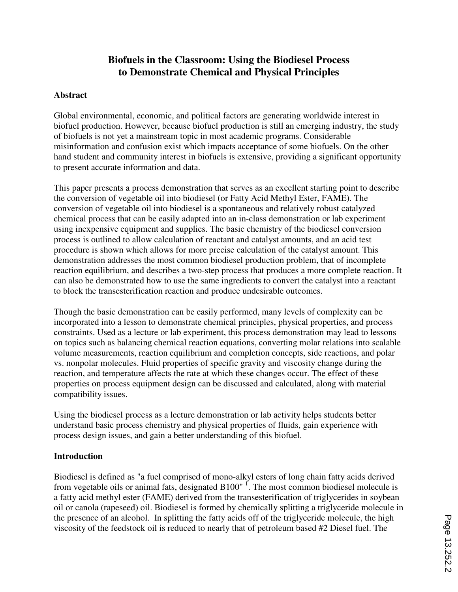# **Biofuels in the Classroom: Using the Biodiesel Process to Demonstrate Chemical and Physical Principles**

### **Abstract**

Global environmental, economic, and political factors are generating worldwide interest in biofuel production. However, because biofuel production is still an emerging industry, the study of biofuels is not yet a mainstream topic in most academic programs. Considerable misinformation and confusion exist which impacts acceptance of some biofuels. On the other hand student and community interest in biofuels is extensive, providing a significant opportunity to present accurate information and data.

This paper presents a process demonstration that serves as an excellent starting point to describe the conversion of vegetable oil into biodiesel (or Fatty Acid Methyl Ester, FAME). The conversion of vegetable oil into biodiesel is a spontaneous and relatively robust catalyzed chemical process that can be easily adapted into an in-class demonstration or lab experiment using inexpensive equipment and supplies. The basic chemistry of the biodiesel conversion process is outlined to allow calculation of reactant and catalyst amounts, and an acid test procedure is shown which allows for more precise calculation of the catalyst amount. This demonstration addresses the most common biodiesel production problem, that of incomplete reaction equilibrium, and describes a two-step process that produces a more complete reaction. It can also be demonstrated how to use the same ingredients to convert the catalyst into a reactant to block the transesterification reaction and produce undesirable outcomes.

Though the basic demonstration can be easily performed, many levels of complexity can be incorporated into a lesson to demonstrate chemical principles, physical properties, and process constraints. Used as a lecture or lab experiment, this process demonstration may lead to lessons on topics such as balancing chemical reaction equations, converting molar relations into scalable volume measurements, reaction equilibrium and completion concepts, side reactions, and polar vs. nonpolar molecules. Fluid properties of specific gravity and viscosity change during the reaction, and temperature affects the rate at which these changes occur. The effect of these properties on process equipment design can be discussed and calculated, along with material compatibility issues.

Using the biodiesel process as a lecture demonstration or lab activity helps students better understand basic process chemistry and physical properties of fluids, gain experience with process design issues, and gain a better understanding of this biofuel.

### **Introduction**

Biodiesel is defined as "a fuel comprised of mono-alkyl esters of long chain fatty acids derived from vegetable oils or animal fats, designated  $B100"$ <sup>1</sup>. The most common biodiesel molecule is a fatty acid methyl ester (FAME) derived from the transesterification of triglycerides in soybean oil or canola (rapeseed) oil. Biodiesel is formed by chemically splitting a triglyceride molecule in the presence of an alcohol. In splitting the fatty acids off of the triglyceride molecule, the high viscosity of the feedstock oil is reduced to nearly that of petroleum based #2 Diesel fuel. The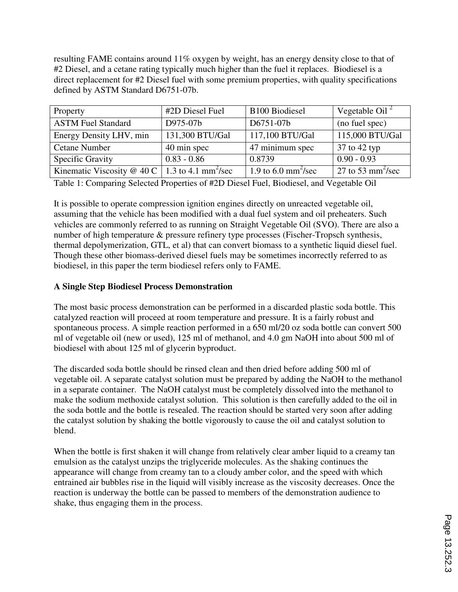resulting FAME contains around 11% oxygen by weight, has an energy density close to that of #2 Diesel, and a cetane rating typically much higher than the fuel it replaces. Biodiesel is a direct replacement for #2 Diesel fuel with some premium properties, with quality specifications defined by ASTM Standard D6751-07b.

| Property                                                     | #2D Diesel Fuel | <b>B100 Biodiesel</b>                | Vegetable Oil <sup>2</sup>    |
|--------------------------------------------------------------|-----------------|--------------------------------------|-------------------------------|
| <b>ASTM</b> Fuel Standard                                    | D975-07b        | D6751-07b                            | (no fuel spec)                |
| Energy Density LHV, min                                      | 131,300 BTU/Gal | 117,100 BTU/Gal                      | 115,000 BTU/Gal               |
| <b>Cetane Number</b>                                         | 40 min spec     | 47 minimum spec                      | 37 to 42 typ                  |
| Specific Gravity                                             | $0.83 - 0.86$   | 0.8739                               | $0.90 - 0.93$                 |
| Kinematic Viscosity @ 40 C   1.3 to 4.1 mm <sup>2</sup> /sec |                 | 1.9 to $6.0 \text{ mm}^2/\text{sec}$ | 27 to 53 mm <sup>2</sup> /sec |

Table 1: Comparing Selected Properties of #2D Diesel Fuel, Biodiesel, and Vegetable Oil

It is possible to operate compression ignition engines directly on unreacted vegetable oil, assuming that the vehicle has been modified with a dual fuel system and oil preheaters. Such vehicles are commonly referred to as running on Straight Vegetable Oil (SVO). There are also a number of high temperature & pressure refinery type processes (Fischer-Tropsch synthesis, thermal depolymerization, GTL, et al) that can convert biomass to a synthetic liquid diesel fuel. Though these other biomass-derived diesel fuels may be sometimes incorrectly referred to as biodiesel, in this paper the term biodiesel refers only to FAME.

### **A Single Step Biodiesel Process Demonstration**

The most basic process demonstration can be performed in a discarded plastic soda bottle. This catalyzed reaction will proceed at room temperature and pressure. It is a fairly robust and spontaneous process. A simple reaction performed in a 650 ml/20 oz soda bottle can convert 500 ml of vegetable oil (new or used), 125 ml of methanol, and 4.0 gm NaOH into about 500 ml of biodiesel with about 125 ml of glycerin byproduct.

The discarded soda bottle should be rinsed clean and then dried before adding 500 ml of vegetable oil. A separate catalyst solution must be prepared by adding the NaOH to the methanol in a separate container. The NaOH catalyst must be completely dissolved into the methanol to make the sodium methoxide catalyst solution. This solution is then carefully added to the oil in the soda bottle and the bottle is resealed. The reaction should be started very soon after adding the catalyst solution by shaking the bottle vigorously to cause the oil and catalyst solution to blend.

When the bottle is first shaken it will change from relatively clear amber liquid to a creamy tan emulsion as the catalyst unzips the triglyceride molecules. As the shaking continues the appearance will change from creamy tan to a cloudy amber color, and the speed with which entrained air bubbles rise in the liquid will visibly increase as the viscosity decreases. Once the reaction is underway the bottle can be passed to members of the demonstration audience to shake, thus engaging them in the process.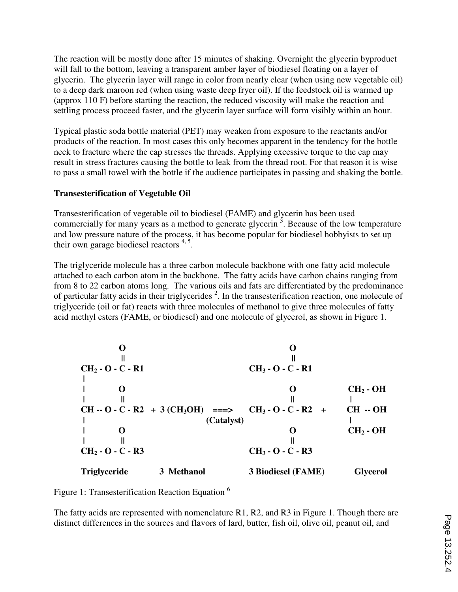The reaction will be mostly done after 15 minutes of shaking. Overnight the glycerin byproduct will fall to the bottom, leaving a transparent amber layer of biodiesel floating on a layer of glycerin. The glycerin layer will range in color from nearly clear (when using new vegetable oil) to a deep dark maroon red (when using waste deep fryer oil). If the feedstock oil is warmed up (approx 110 F) before starting the reaction, the reduced viscosity will make the reaction and settling process proceed faster, and the glycerin layer surface will form visibly within an hour.

Typical plastic soda bottle material (PET) may weaken from exposure to the reactants and/or products of the reaction. In most cases this only becomes apparent in the tendency for the bottle neck to fracture where the cap stresses the threads. Applying excessive torque to the cap may result in stress fractures causing the bottle to leak from the thread root. For that reason it is wise to pass a small towel with the bottle if the audience participates in passing and shaking the bottle.

## **Transesterification of Vegetable Oil**

Transesterification of vegetable oil to biodiesel (FAME) and glycerin has been used commercially for many years as a method to generate glycerin<sup>3</sup>. Because of the low temperature and low pressure nature of the process, it has become popular for biodiesel hobbyists to set up their own garage biodiesel reactors  $4.5$ .

The triglyceride molecule has a three carbon molecule backbone with one fatty acid molecule attached to each carbon atom in the backbone. The fatty acids have carbon chains ranging from from 8 to 22 carbon atoms long. The various oils and fats are differentiated by the predominance of particular fatty acids in their triglycerides  $2$ . In the transesterification reaction, one molecule of triglyceride (oil or fat) reacts with three molecules of methanol to give three molecules of fatty acid methyl esters (FAME, or biodiesel) and one molecule of glycerol, as shown in Figure 1.

| $CH2$ - O - C - R1  |                                    | $CH3$ - O - C - R1         |                 |
|---------------------|------------------------------------|----------------------------|-----------------|
|                     |                                    |                            |                 |
|                     |                                    |                            | $CH2$ - OH      |
|                     |                                    |                            |                 |
|                     | $CH - O - C - R2 + 3 (CH3OH)$ ===> | $CH_3 - O - C - R2$<br>$+$ | $CH - OH$       |
|                     | (Catalyst)                         |                            |                 |
|                     |                                    |                            | $CH2$ - OH      |
|                     |                                    |                            |                 |
| $CH2$ - O - C - R3  |                                    | $CH_3 - O - C - R3$        |                 |
| <b>Triglyceride</b> | 3 Methanol                         | 3 Biodiesel (FAME)         | <b>Glycerol</b> |

Figure 1: Transesterification Reaction Equation <sup>6</sup>

The fatty acids are represented with nomenclature R1, R2, and R3 in Figure 1. Though there are distinct differences in the sources and flavors of lard, butter, fish oil, olive oil, peanut oil, and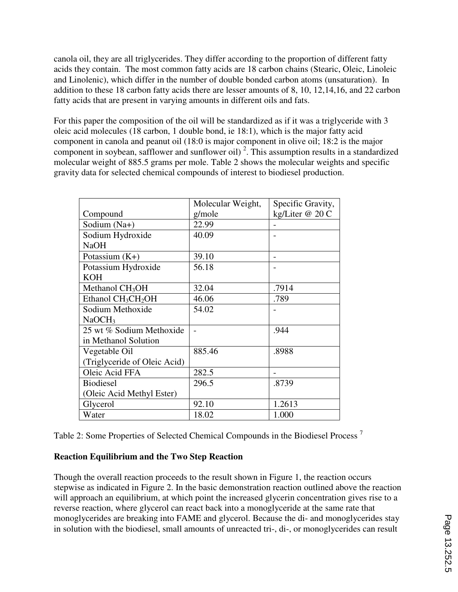canola oil, they are all triglycerides. They differ according to the proportion of different fatty acids they contain. The most common fatty acids are 18 carbon chains (Stearic, Oleic, Linoleic and Linolenic), which differ in the number of double bonded carbon atoms (unsaturation). In addition to these 18 carbon fatty acids there are lesser amounts of 8, 10, 12,14,16, and 22 carbon fatty acids that are present in varying amounts in different oils and fats.

For this paper the composition of the oil will be standardized as if it was a triglyceride with 3 oleic acid molecules (18 carbon, 1 double bond, ie 18:1), which is the major fatty acid component in canola and peanut oil (18:0 is major component in olive oil; 18:2 is the major component in soybean, safflower and sunflower oil)<sup>2</sup>. This assumption results in a standardized molecular weight of 885.5 grams per mole. Table 2 shows the molecular weights and specific gravity data for selected chemical compounds of interest to biodiesel production.

|                              | Molecular Weight, | Specific Gravity, |
|------------------------------|-------------------|-------------------|
| Compound                     | g/mole            | kg/Liter @ 20 C   |
| Sodium (Na+)                 | 22.99             |                   |
| Sodium Hydroxide             | 40.09             |                   |
| <b>NaOH</b>                  |                   |                   |
| Potassium $(K+)$             | 39.10             |                   |
| Potassium Hydroxide          | 56.18             |                   |
| <b>KOH</b>                   |                   |                   |
| Methanol $CH3OH$             | 32.04             | .7914             |
| Ethanol $CH_3CH_2OH$         | 46.06             | .789              |
| Sodium Methoxide             | 54.02             |                   |
| NaOCH <sub>3</sub>           |                   |                   |
| 25 wt % Sodium Methoxide     |                   | .944              |
| in Methanol Solution         |                   |                   |
| Vegetable Oil                | 885.46            | .8988             |
| (Triglyceride of Oleic Acid) |                   |                   |
| Oleic Acid FFA               | 282.5             |                   |
| <b>Biodiesel</b>             | 296.5             | .8739             |
| (Oleic Acid Methyl Ester)    |                   |                   |
| Glycerol                     | 92.10             | 1.2613            |
| Water                        | 18.02             | 1.000             |

Table 2: Some Properties of Selected Chemical Compounds in the Biodiesel Process <sup>7</sup>

## **Reaction Equilibrium and the Two Step Reaction**

Though the overall reaction proceeds to the result shown in Figure 1, the reaction occurs stepwise as indicated in Figure 2. In the basic demonstration reaction outlined above the reaction will approach an equilibrium, at which point the increased glycerin concentration gives rise to a reverse reaction, where glycerol can react back into a monoglyceride at the same rate that monoglycerides are breaking into FAME and glycerol. Because the di- and monoglycerides stay in solution with the biodiesel, small amounts of unreacted tri-, di-, or monoglycerides can result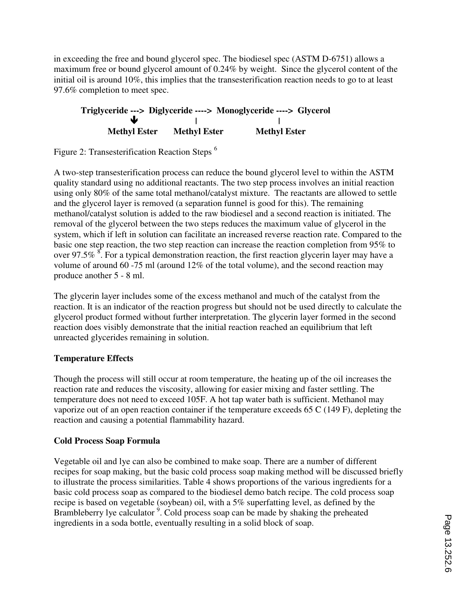in exceeding the free and bound glycerol spec. The biodiesel spec (ASTM D-6751) allows a maximum free or bound glycerol amount of 0.24% by weight. Since the glycerol content of the initial oil is around 10%, this implies that the transesterification reaction needs to go to at least 97.6% completion to meet spec.

## **Triglyceride ---> Diglyceride ----> Monoglyceride ----> Glycerol | | Methyl Ester Methyl Ester Methyl Ester**

Figure 2: Transesterification Reaction Steps <sup>6</sup>

A two-step transesterification process can reduce the bound glycerol level to within the ASTM quality standard using no additional reactants. The two step process involves an initial reaction using only 80% of the same total methanol/catalyst mixture. The reactants are allowed to settle and the glycerol layer is removed (a separation funnel is good for this). The remaining methanol/catalyst solution is added to the raw biodiesel and a second reaction is initiated. The removal of the glycerol between the two steps reduces the maximum value of glycerol in the system, which if left in solution can facilitate an increased reverse reaction rate. Compared to the basic one step reaction, the two step reaction can increase the reaction completion from 95% to over 97.5%  $\frac{8}{5}$ . For a typical demonstration reaction, the first reaction glycerin layer may have a volume of around 60 -75 ml (around 12% of the total volume), and the second reaction may produce another 5 - 8 ml.

The glycerin layer includes some of the excess methanol and much of the catalyst from the reaction. It is an indicator of the reaction progress but should not be used directly to calculate the glycerol product formed without further interpretation. The glycerin layer formed in the second reaction does visibly demonstrate that the initial reaction reached an equilibrium that left unreacted glycerides remaining in solution.

## **Temperature Effects**

Though the process will still occur at room temperature, the heating up of the oil increases the reaction rate and reduces the viscosity, allowing for easier mixing and faster settling. The temperature does not need to exceed 105F. A hot tap water bath is sufficient. Methanol may vaporize out of an open reaction container if the temperature exceeds 65 C (149 F), depleting the reaction and causing a potential flammability hazard.

## **Cold Process Soap Formula**

Vegetable oil and lye can also be combined to make soap. There are a number of different recipes for soap making, but the basic cold process soap making method will be discussed briefly to illustrate the process similarities. Table 4 shows proportions of the various ingredients for a basic cold process soap as compared to the biodiesel demo batch recipe. The cold process soap recipe is based on vegetable (soybean) oil, with a 5% superfatting level, as defined by the Brambleberry lye calculator<sup>9</sup>. Cold process soap can be made by shaking the preheated ingredients in a soda bottle, eventually resulting in a solid block of soap.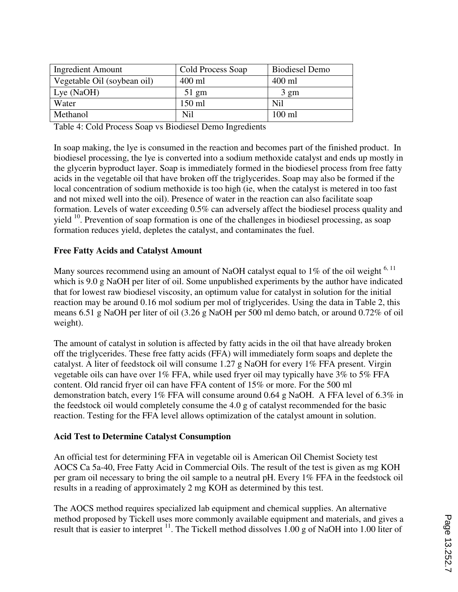| <b>Ingredient Amount</b>    | Cold Process Soap | <b>Biodiesel Demo</b> |
|-----------------------------|-------------------|-----------------------|
| Vegetable Oil (soybean oil) | 400 ml            | 400 ml                |
| Lye $(NaOH)$                | $51 \text{ gm}$   | $3 \text{ gm}$        |
| Water                       | 150 ml            | Nil                   |
| Methanol                    | Nil               | $100$ ml              |

Table 4: Cold Process Soap vs Biodiesel Demo Ingredients

In soap making, the lye is consumed in the reaction and becomes part of the finished product. In biodiesel processing, the lye is converted into a sodium methoxide catalyst and ends up mostly in the glycerin byproduct layer. Soap is immediately formed in the biodiesel process from free fatty acids in the vegetable oil that have broken off the triglycerides. Soap may also be formed if the local concentration of sodium methoxide is too high (ie, when the catalyst is metered in too fast and not mixed well into the oil). Presence of water in the reaction can also facilitate soap formation. Levels of water exceeding 0.5% can adversely affect the biodiesel process quality and yield  $10$ . Prevention of soap formation is one of the challenges in biodiesel processing, as soap formation reduces yield, depletes the catalyst, and contaminates the fuel.

## **Free Fatty Acids and Catalyst Amount**

Many sources recommend using an amount of NaOH catalyst equal to  $1\%$  of the oil weight  $6, 11$ which is 9.0 g NaOH per liter of oil. Some unpublished experiments by the author have indicated that for lowest raw biodiesel viscosity, an optimum value for catalyst in solution for the initial reaction may be around 0.16 mol sodium per mol of triglycerides. Using the data in Table 2, this means 6.51 g NaOH per liter of oil (3.26 g NaOH per 500 ml demo batch, or around 0.72% of oil weight).

The amount of catalyst in solution is affected by fatty acids in the oil that have already broken off the triglycerides. These free fatty acids (FFA) will immediately form soaps and deplete the catalyst. A liter of feedstock oil will consume 1.27 g NaOH for every 1% FFA present. Virgin vegetable oils can have over 1% FFA, while used fryer oil may typically have 3% to 5% FFA content. Old rancid fryer oil can have FFA content of 15% or more. For the 500 ml demonstration batch, every 1% FFA will consume around 0.64 g NaOH. A FFA level of 6.3% in the feedstock oil would completely consume the 4.0 g of catalyst recommended for the basic reaction. Testing for the FFA level allows optimization of the catalyst amount in solution.

## **Acid Test to Determine Catalyst Consumption**

An official test for determining FFA in vegetable oil is American Oil Chemist Society test AOCS Ca 5a-40, Free Fatty Acid in Commercial Oils. The result of the test is given as mg KOH per gram oil necessary to bring the oil sample to a neutral pH. Every 1% FFA in the feedstock oil results in a reading of approximately 2 mg KOH as determined by this test.

The AOCS method requires specialized lab equipment and chemical supplies. An alternative method proposed by Tickell uses more commonly available equipment and materials, and gives a result that is easier to interpret <sup>11</sup>. The Tickell method dissolves 1.00 g of NaOH into 1.00 liter of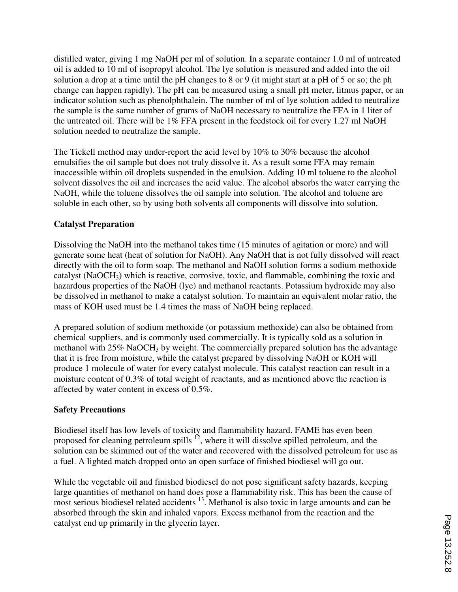distilled water, giving 1 mg NaOH per ml of solution. In a separate container 1.0 ml of untreated oil is added to 10 ml of isopropyl alcohol. The lye solution is measured and added into the oil solution a drop at a time until the pH changes to 8 or 9 (it might start at a pH of 5 or so; the ph change can happen rapidly). The pH can be measured using a small pH meter, litmus paper, or an indicator solution such as phenolphthalein. The number of ml of lye solution added to neutralize the sample is the same number of grams of NaOH necessary to neutralize the FFA in 1 liter of the untreated oil. There will be 1% FFA present in the feedstock oil for every 1.27 ml NaOH solution needed to neutralize the sample.

The Tickell method may under-report the acid level by 10% to 30% because the alcohol emulsifies the oil sample but does not truly dissolve it. As a result some FFA may remain inaccessible within oil droplets suspended in the emulsion. Adding 10 ml toluene to the alcohol solvent dissolves the oil and increases the acid value. The alcohol absorbs the water carrying the NaOH, while the toluene dissolves the oil sample into solution. The alcohol and toluene are soluble in each other, so by using both solvents all components will dissolve into solution.

## **Catalyst Preparation**

Dissolving the NaOH into the methanol takes time (15 minutes of agitation or more) and will generate some heat (heat of solution for NaOH). Any NaOH that is not fully dissolved will react directly with the oil to form soap. The methanol and NaOH solution forms a sodium methoxide catalyst (NaOCH3) which is reactive, corrosive, toxic, and flammable, combining the toxic and hazardous properties of the NaOH (lye) and methanol reactants. Potassium hydroxide may also be dissolved in methanol to make a catalyst solution. To maintain an equivalent molar ratio, the mass of KOH used must be 1.4 times the mass of NaOH being replaced.

A prepared solution of sodium methoxide (or potassium methoxide) can also be obtained from chemical suppliers, and is commonly used commercially. It is typically sold as a solution in methanol with 25% NaOCH<sub>3</sub> by weight. The commercially prepared solution has the advantage that it is free from moisture, while the catalyst prepared by dissolving NaOH or KOH will produce 1 molecule of water for every catalyst molecule. This catalyst reaction can result in a moisture content of 0.3% of total weight of reactants, and as mentioned above the reaction is affected by water content in excess of 0.5%.

## **Safety Precautions**

Biodiesel itself has low levels of toxicity and flammability hazard. FAME has even been proposed for cleaning petroleum spills  $\frac{12}{2}$ , where it will dissolve spilled petroleum, and the solution can be skimmed out of the water and recovered with the dissolved petroleum for use as a fuel. A lighted match dropped onto an open surface of finished biodiesel will go out.

While the vegetable oil and finished biodiesel do not pose significant safety hazards, keeping large quantities of methanol on hand does pose a flammability risk. This has been the cause of most serious biodiesel related accidents <sup>13</sup>. Methanol is also toxic in large amounts and can be absorbed through the skin and inhaled vapors. Excess methanol from the reaction and the catalyst end up primarily in the glycerin layer.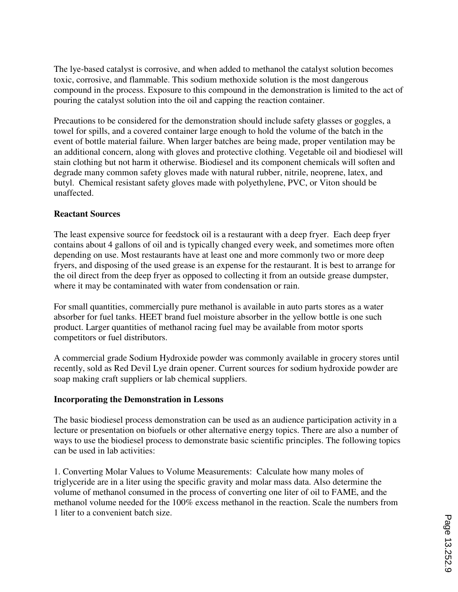The lye-based catalyst is corrosive, and when added to methanol the catalyst solution becomes toxic, corrosive, and flammable. This sodium methoxide solution is the most dangerous compound in the process. Exposure to this compound in the demonstration is limited to the act of pouring the catalyst solution into the oil and capping the reaction container.

Precautions to be considered for the demonstration should include safety glasses or goggles, a towel for spills, and a covered container large enough to hold the volume of the batch in the event of bottle material failure. When larger batches are being made, proper ventilation may be an additional concern, along with gloves and protective clothing. Vegetable oil and biodiesel will stain clothing but not harm it otherwise. Biodiesel and its component chemicals will soften and degrade many common safety gloves made with natural rubber, nitrile, neoprene, latex, and butyl. Chemical resistant safety gloves made with polyethylene, PVC, or Viton should be unaffected.

## **Reactant Sources**

The least expensive source for feedstock oil is a restaurant with a deep fryer. Each deep fryer contains about 4 gallons of oil and is typically changed every week, and sometimes more often depending on use. Most restaurants have at least one and more commonly two or more deep fryers, and disposing of the used grease is an expense for the restaurant. It is best to arrange for the oil direct from the deep fryer as opposed to collecting it from an outside grease dumpster, where it may be contaminated with water from condensation or rain.

For small quantities, commercially pure methanol is available in auto parts stores as a water absorber for fuel tanks. HEET brand fuel moisture absorber in the yellow bottle is one such product. Larger quantities of methanol racing fuel may be available from motor sports competitors or fuel distributors.

A commercial grade Sodium Hydroxide powder was commonly available in grocery stores until recently, sold as Red Devil Lye drain opener. Current sources for sodium hydroxide powder are soap making craft suppliers or lab chemical suppliers.

### **Incorporating the Demonstration in Lessons**

The basic biodiesel process demonstration can be used as an audience participation activity in a lecture or presentation on biofuels or other alternative energy topics. There are also a number of ways to use the biodiesel process to demonstrate basic scientific principles. The following topics can be used in lab activities:

1. Converting Molar Values to Volume Measurements: Calculate how many moles of triglyceride are in a liter using the specific gravity and molar mass data. Also determine the volume of methanol consumed in the process of converting one liter of oil to FAME, and the methanol volume needed for the 100% excess methanol in the reaction. Scale the numbers from 1 liter to a convenient batch size.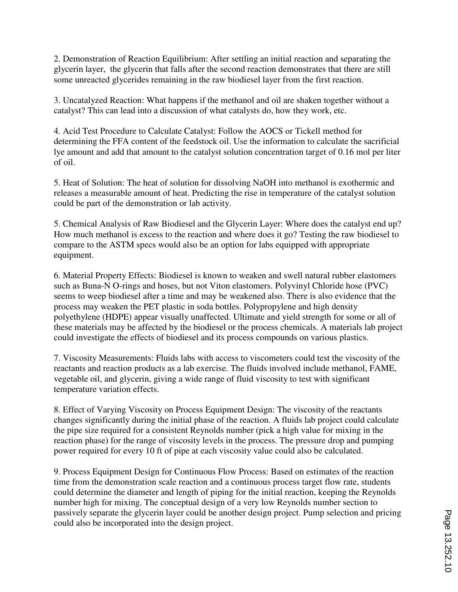2. Demonstration of Reaction Equilibrium: After settling an initial reaction and separating the glycerin layer, the glycerin that falls after the second reaction demonstrates that there are still some unreacted glycerides remaining in the raw biodiesel layer from the first reaction.

3. Uncatalyzed Reaction: What happens if the methanol and oil are shaken together without a catalyst? This can lead into a discussion of what catalysts do, how they work, etc.

4. Acid Test Procedure to Calculate Catalyst: Follow the AOCS or Tickell method for determining the FFA content of the feedstock oil. Use the information to calculate the sacrificial lye amount and add that amount to the catalyst solution concentration target of 0.16 mol per liter of oil.

5. Heat of Solution: The heat of solution for dissolving NaOH into methanol is exothermic and releases a measurable amount of heat. Predicting the rise in temperature of the catalyst solution could be part of the demonstration or lab activity.

5. Chemical Analysis of Raw Biodiesel and the Glycerin Layer: Where does the catalyst end up? How much methanol is excess to the reaction and where does it go? Testing the raw biodiesel to compare to the ASTM specs would also be an option for labs equipped with appropriate equipment.

6. Material Property Effects: Biodiesel is known to weaken and swell natural rubber elastomers such as Buna-N O-rings and hoses, but not Viton elastomers. Polyvinyl Chloride hose (PVC) seems to weep biodiesel after a time and may be weakened also. There is also evidence that the process may weaken the PET plastic in soda bottles. Polypropylene and high density polyethylene (HDPE) appear visually unaffected. Ultimate and yield strength for some or all of these materials may be affected by the biodiesel or the process chemicals. A materials lab project could investigate the effects of biodiesel and its process compounds on various plastics.

7. Viscosity Measurements: Fluids labs with access to viscometers could test the viscosity of the reactants and reaction products as a lab exercise. The fluids involved include methanol, FAME, vegetable oil, and glycerin, giving a wide range of fluid viscosity to test with significant temperature variation effects.

8. Effect of Varying Viscosity on Process Equipment Design: The viscosity of the reactants changes significantly during the initial phase of the reaction. A fluids lab project could calculate the pipe size required for a consistent Reynolds number (pick a high value for mixing in the reaction phase) for the range of viscosity levels in the process. The pressure drop and pumping power required for every 10 ft of pipe at each viscosity value could also be calculated.

9. Process Equipment Design for Continuous Flow Process: Based on estimates of the reaction time from the demonstration scale reaction and a continuous process target flow rate, students could determine the diameter and length of piping for the initial reaction, keeping the Reynolds number high for mixing. The conceptual design of a very low Reynolds number section to passively separate the glycerin layer could be another design project. Pump selection and pricing could also be incorporated into the design project.